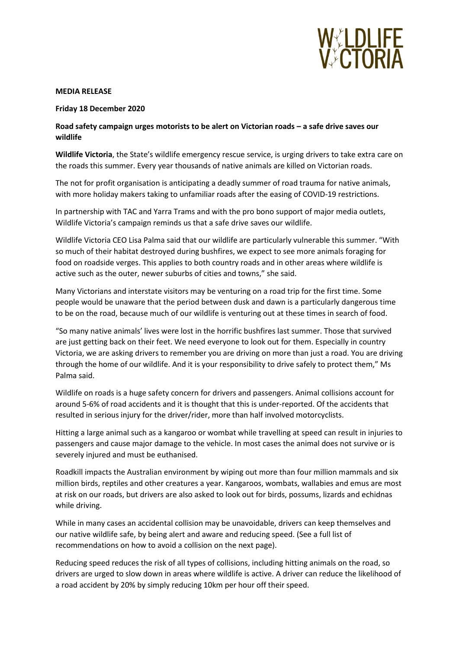

## **MEDIA RELEASE**

**Friday 18 December 2020**

## **Road safety campaign urges motorists to be alert on Victorian roads – a safe drive saves our wildlife**

**Wildlife Victoria**, the State's wildlife emergency rescue service, is urging drivers to take extra care on the roads this summer. Every year thousands of native animals are killed on Victorian roads.

The not for profit organisation is anticipating a deadly summer of road trauma for native animals, with more holiday makers taking to unfamiliar roads after the easing of COVID-19 restrictions.

In partnership with TAC and Yarra Trams and with the pro bono support of major media outlets, Wildlife Victoria's campaign reminds us that a safe drive saves our wildlife.

Wildlife Victoria CEO Lisa Palma said that our wildlife are particularly vulnerable this summer. "With so much of their habitat destroyed during bushfires, we expect to see more animals foraging for food on roadside verges. This applies to both country roads and in other areas where wildlife is active such as the outer, newer suburbs of cities and towns," she said.

Many Victorians and interstate visitors may be venturing on a road trip for the first time. Some people would be unaware that the period between dusk and dawn is a particularly dangerous time to be on the road, because much of our wildlife is venturing out at these times in search of food.

"So many native animals' lives were lost in the horrific bushfires last summer. Those that survived are just getting back on their feet. We need everyone to look out for them. Especially in country Victoria, we are asking drivers to remember you are driving on more than just a road. You are driving through the home of our wildlife. And it is your responsibility to drive safely to protect them," Ms Palma said.

Wildlife on roads is a huge safety concern for drivers and passengers. Animal collisions account for around 5-6% of road accidents and it is thought that this is under-reported. Of the accidents that resulted in serious injury for the driver/rider, more than half involved motorcyclists.

Hitting a large animal such as a kangaroo or wombat while travelling at speed can result in injuries to passengers and cause major damage to the vehicle. In most cases the animal does not survive or is severely injured and must be euthanised.

Roadkill impacts the Australian environment by wiping out more than four million mammals and six million birds, reptiles and other creatures a year. Kangaroos, wombats, wallabies and emus are most at risk on our roads, but drivers are also asked to look out for birds, possums, lizards and echidnas while driving.

While in many cases an accidental collision may be unavoidable, drivers can keep themselves and our native wildlife safe, by being alert and aware and reducing speed. (See a full list of recommendations on how to avoid a collision on the next page).

Reducing speed reduces the risk of all types of collisions, including hitting animals on the road, so drivers are urged to slow down in areas where wildlife is active. A driver can reduce the likelihood of a road accident by 20% by simply reducing 10km per hour off their speed.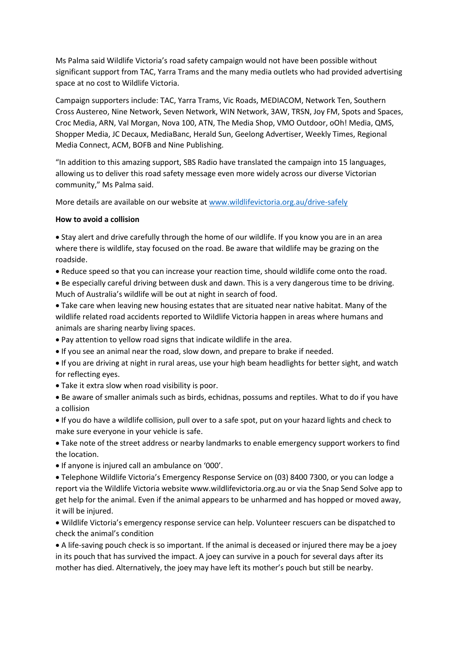Ms Palma said Wildlife Victoria's road safety campaign would not have been possible without significant support from TAC, Yarra Trams and the many media outlets who had provided advertising space at no cost to Wildlife Victoria.

Campaign supporters include: TAC, Yarra Trams, Vic Roads, MEDIACOM, Network Ten, Southern Cross Austereo, Nine Network, Seven Network, WIN Network, 3AW, TRSN, Joy FM, Spots and Spaces, Croc Media, ARN, Val Morgan, Nova 100, ATN, The Media Shop, VMO Outdoor, oOh! Media, QMS, Shopper Media, JC Decaux, MediaBanc, Herald Sun, Geelong Advertiser, Weekly Times, Regional Media Connect, ACM, BOFB and Nine Publishing.

"In addition to this amazing support, SBS Radio have translated the campaign into 15 languages, allowing us to deliver this road safety message even more widely across our diverse Victorian community," Ms Palma said.

More details are available on our website at [www.wildlifevictoria.org.au/drive-safely](http://www.wildlifevictoria.org.au/drive-safely)

## **How to avoid a collision**

 Stay alert and drive carefully through the home of our wildlife. If you know you are in an area where there is wildlife, stay focused on the road. Be aware that wildlife may be grazing on the roadside.

Reduce speed so that you can increase your reaction time, should wildlife come onto the road.

 Be especially careful driving between dusk and dawn. This is a very dangerous time to be driving. Much of Australia's wildlife will be out at night in search of food.

 Take care when leaving new housing estates that are situated near native habitat. Many of the wildlife related road accidents reported to Wildlife Victoria happen in areas where humans and animals are sharing nearby living spaces.

- Pay attention to yellow road signs that indicate wildlife in the area.
- If you see an animal near the road, slow down, and prepare to brake if needed.
- If you are driving at night in rural areas, use your high beam headlights for better sight, and watch for reflecting eyes.
- Take it extra slow when road visibility is poor.
- Be aware of smaller animals such as birds, echidnas, possums and reptiles. What to do if you have a collision

 If you do have a wildlife collision, pull over to a safe spot, put on your hazard lights and check to make sure everyone in your vehicle is safe.

 Take note of the street address or nearby landmarks to enable emergency support workers to find the location.

• If anyone is injured call an ambulance on '000'.

 Telephone Wildlife Victoria's Emergency Response Service on (03) 8400 7300, or you can lodge a report via the Wildlife Victoria website www.wildlifevictoria.org.au or via the Snap Send Solve app to get help for the animal. Even if the animal appears to be unharmed and has hopped or moved away, it will be injured.

 Wildlife Victoria's emergency response service can help. Volunteer rescuers can be dispatched to check the animal's condition

 A life-saving pouch check is so important. If the animal is deceased or injured there may be a joey in its pouch that has survived the impact. A joey can survive in a pouch for several days after its mother has died. Alternatively, the joey may have left its mother's pouch but still be nearby.